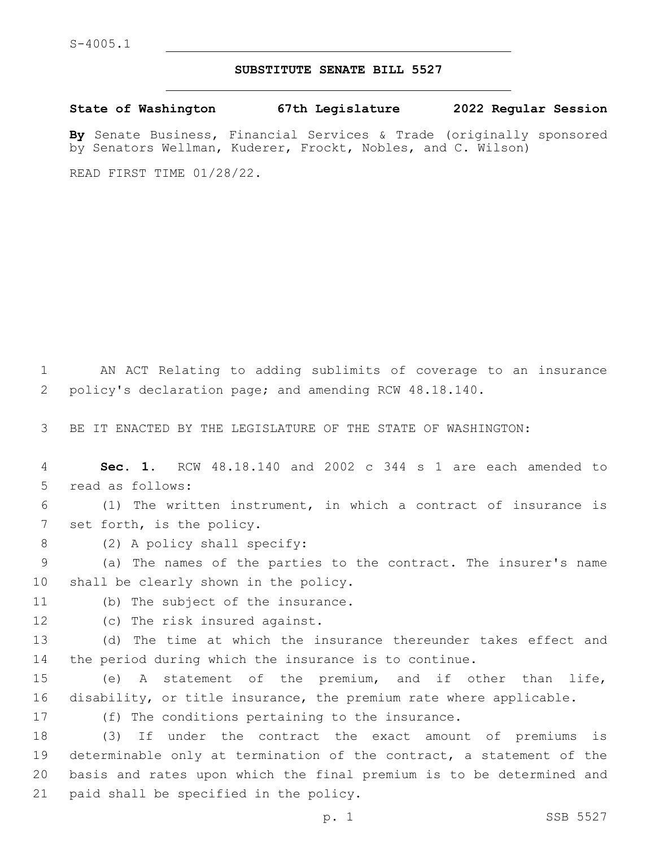## **SUBSTITUTE SENATE BILL 5527**

**State of Washington 67th Legislature 2022 Regular Session**

**By** Senate Business, Financial Services & Trade (originally sponsored by Senators Wellman, Kuderer, Frockt, Nobles, and C. Wilson)

READ FIRST TIME 01/28/22.

1 AN ACT Relating to adding sublimits of coverage to an insurance 2 policy's declaration page; and amending RCW 48.18.140.

3 BE IT ENACTED BY THE LEGISLATURE OF THE STATE OF WASHINGTON:

4 **Sec. 1.** RCW 48.18.140 and 2002 c 344 s 1 are each amended to 5 read as follows:

6 (1) The written instrument, in which a contract of insurance is 7 set forth, is the policy.

8 (2) A policy shall specify:

9 (a) The names of the parties to the contract. The insurer's name 10 shall be clearly shown in the policy.

11 (b) The subject of the insurance.

12 (c) The risk insured against.

13 (d) The time at which the insurance thereunder takes effect and 14 the period during which the insurance is to continue.

15 (e) A statement of the premium, and if other than life, 16 disability, or title insurance, the premium rate where applicable.

17 (f) The conditions pertaining to the insurance.

 (3) If under the contract the exact amount of premiums is determinable only at termination of the contract, a statement of the basis and rates upon which the final premium is to be determined and 21 paid shall be specified in the policy.